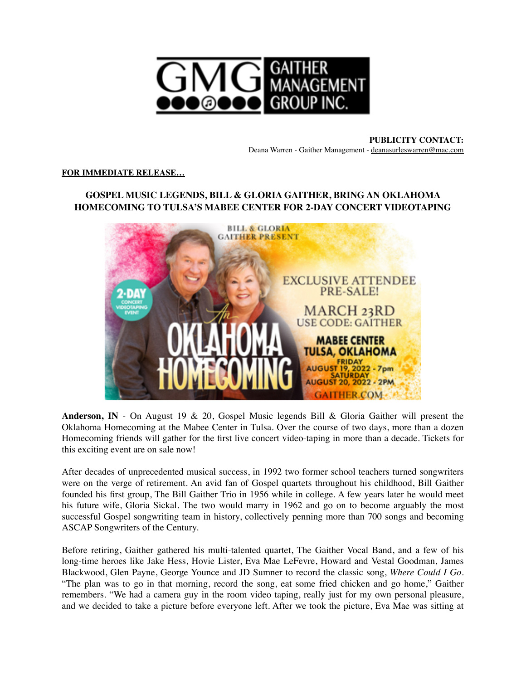

**PUBLICITY CONTACT:** Deana Warren - Gaither Management - [deanasurleswarren@mac.com](mailto:deanasurleswarren@mac.com)

## **FOR IMMEDIATE RELEASE…**

## **GOSPEL MUSIC LEGENDS, BILL & GLORIA GAITHER, BRING AN OKLAHOMA HOMECOMING TO TULSA'S MABEE CENTER FOR 2-DAY CONCERT VIDEOTAPING**



**Anderson, IN** - On August 19 & 20, Gospel Music legends Bill & Gloria Gaither will present the Oklahoma Homecoming at the Mabee Center in Tulsa. Over the course of two days, more than a dozen Homecoming friends will gather for the first live concert video-taping in more than a decade. Tickets for this exciting event are on sale now!

After decades of unprecedented musical success, in 1992 two former school teachers turned songwriters were on the verge of retirement. An avid fan of Gospel quartets throughout his childhood, Bill Gaither founded his first group, The Bill Gaither Trio in 1956 while in college. A few years later he would meet his future wife, Gloria Sickal. The two would marry in 1962 and go on to become arguably the most successful Gospel songwriting team in history, collectively penning more than 700 songs and becoming ASCAP Songwriters of the Century.

Before retiring, Gaither gathered his multi-talented quartet, The Gaither Vocal Band, and a few of his long-time heroes like Jake Hess, Hovie Lister, Eva Mae LeFevre, Howard and Vestal Goodman, James Blackwood, Glen Payne, George Younce and JD Sumner to record the classic song, *Where Could I Go*. "The plan was to go in that morning, record the song, eat some fried chicken and go home," Gaither remembers. "We had a camera guy in the room video taping, really just for my own personal pleasure, and we decided to take a picture before everyone left. After we took the picture, Eva Mae was sitting at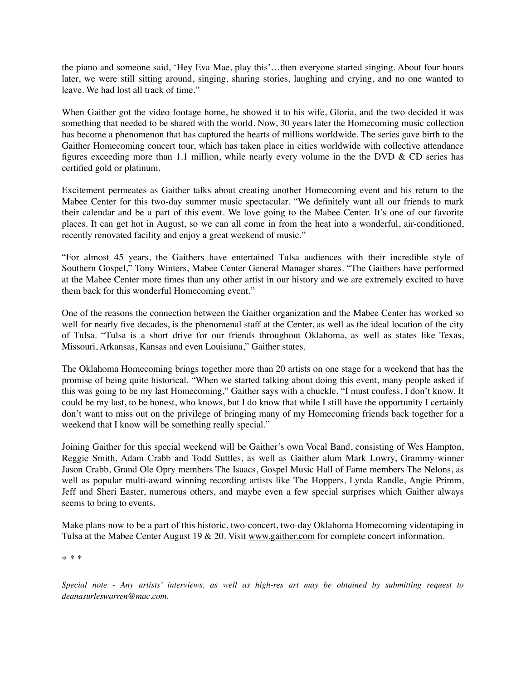the piano and someone said, 'Hey Eva Mae, play this'…then everyone started singing. About four hours later, we were still sitting around, singing, sharing stories, laughing and crying, and no one wanted to leave. We had lost all track of time."

When Gaither got the video footage home, he showed it to his wife, Gloria, and the two decided it was something that needed to be shared with the world. Now, 30 years later the Homecoming music collection has become a phenomenon that has captured the hearts of millions worldwide. The series gave birth to the Gaither Homecoming concert tour, which has taken place in cities worldwide with collective attendance figures exceeding more than 1.1 million, while nearly every volume in the the DVD & CD series has certified gold or platinum.

Excitement permeates as Gaither talks about creating another Homecoming event and his return to the Mabee Center for this two-day summer music spectacular. "We definitely want all our friends to mark their calendar and be a part of this event. We love going to the Mabee Center. It's one of our favorite places. It can get hot in August, so we can all come in from the heat into a wonderful, air-conditioned, recently renovated facility and enjoy a great weekend of music."

"For almost 45 years, the Gaithers have entertained Tulsa audiences with their incredible style of Southern Gospel," Tony Winters, Mabee Center General Manager shares. "The Gaithers have performed at the Mabee Center more times than any other artist in our history and we are extremely excited to have them back for this wonderful Homecoming event."

One of the reasons the connection between the Gaither organization and the Mabee Center has worked so well for nearly five decades, is the phenomenal staff at the Center, as well as the ideal location of the city of Tulsa. "Tulsa is a short drive for our friends throughout Oklahoma, as well as states like Texas, Missouri, Arkansas, Kansas and even Louisiana," Gaither states.

The Oklahoma Homecoming brings together more than 20 artists on one stage for a weekend that has the promise of being quite historical. "When we started talking about doing this event, many people asked if this was going to be my last Homecoming," Gaither says with a chuckle. "I must confess, I don't know. It could be my last, to be honest, who knows, but I do know that while I still have the opportunity I certainly don't want to miss out on the privilege of bringing many of my Homecoming friends back together for a weekend that I know will be something really special."

Joining Gaither for this special weekend will be Gaither's own Vocal Band, consisting of Wes Hampton, Reggie Smith, Adam Crabb and Todd Suttles, as well as Gaither alum Mark Lowry, Grammy-winner Jason Crabb, Grand Ole Opry members The Isaacs, Gospel Music Hall of Fame members The Nelons, as well as popular multi-award winning recording artists like The Hoppers, Lynda Randle, Angie Primm, Jeff and Sheri Easter, numerous others, and maybe even a few special surprises which Gaither always seems to bring to events.

Make plans now to be a part of this historic, two-concert, two-day Oklahoma Homecoming videotaping in Tulsa at the Mabee Center August 19 & 20. Visit [www.gaither.com](http://www.gaither.com) for complete concert information.

\* \* \*

*Special note - Any artists' interviews, as well as high-res art may be obtained by submitting request to deanasurleswarren@mac.com.*